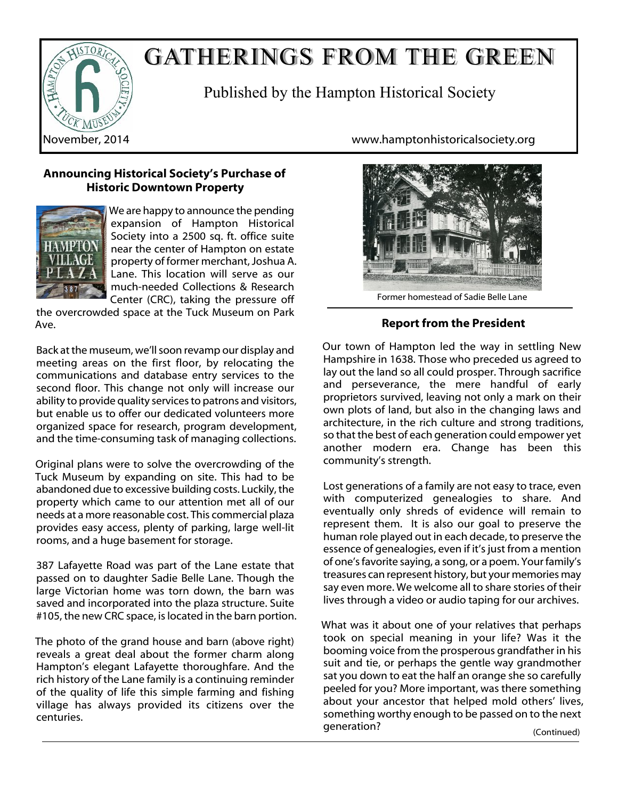

# GATHERINGS FROM THE GREEN

Published by the Hampton Historical Society

# **Announcing Historical Society's Purchase of Historic Downtown Property**



We are happy to announce the pending expansion of Hampton Historical Society into a 2500 sq. ft. office suite near the center of Hampton on estate property of former merchant, Joshua A. Lane. This location will serve as our much-needed Collections & Research Center (CRC), taking the pressure off

the overcrowded space at the Tuck Museum on Park Ave.

Back at the museum, we'll soon revamp our display and meeting areas on the first floor, by relocating the communications and database entry services to the second floor. This change not only will increase our ability to provide quality services to patrons and visitors, but enable us to offer our dedicated volunteers more organized space for research, program development, and the time-consuming task of managing collections.

Original plans were to solve the overcrowding of the Tuck Museum by expanding on site. This had to be abandoned due to excessive building costs. Luckily, the property which came to our attention met all of our needs at a more reasonable cost. This commercial plaza provides easy access, plenty of parking, large well-lit rooms, and a huge basement for storage.

387 Lafayette Road was part of the Lane estate that passed on to daughter Sadie Belle Lane. Though the large Victorian home was torn down, the barn was saved and incorporated into the plaza structure. Suite #105, the new CRC space, is located in the barn portion.

The photo of the grand house and barn (above right) reveals a great deal about the former charm along Hampton's elegant Lafayette thoroughfare. And the rich history of the Lane family is a continuing reminder of the quality of life this simple farming and fishing village has always provided its citizens over the centuries.

November, 2014 www.hamptonhistoricalsociety.org



Former homestead of Sadie Belle Lane

# **Report from the President**

Our town of Hampton led the way in settling New Hampshire in 1638. Those who preceded us agreed to lay out the land so all could prosper. Through sacrifice and perseverance, the mere handful of early proprietors survived, leaving not only a mark on their own plots of land, but also in the changing laws and architecture, in the rich culture and strong traditions, so that the best of each generation could empower yet another modern era. Change has been this community's strength.

Lost generations of a family are not easy to trace, even with computerized genealogies to share. And eventually only shreds of evidence will remain to represent them. It is also our goal to preserve the human role played out in each decade, to preserve the essence of genealogies, even if it's just from a mention of one's favorite saying, a song, or a poem. Your family's treasures can represent history, but your memories may say even more. We welcome all to share stories of their lives through a video or audio taping for our archives.

What was it about one of your relatives that perhaps took on special meaning in your life? Was it the booming voice from the prosperous grandfather in his suit and tie, or perhaps the gentle way grandmother sat you down to eat the half an orange she so carefully peeled for you? More important, was there something about your ancestor that helped mold others' lives, something worthy enough to be passed on to the next generation? (Continued)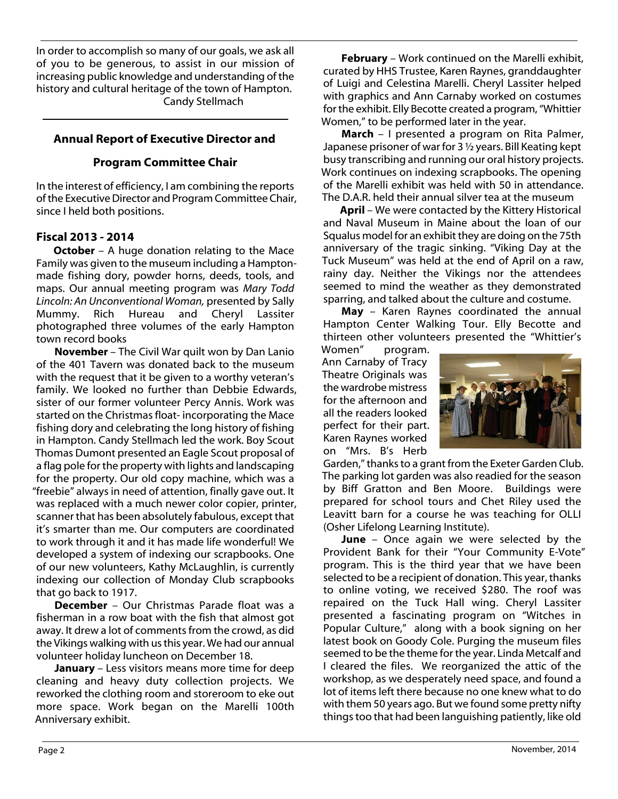In order to accomplish so many of our goals, we ask all of you to be generous, to assist in our mission of increasing public knowledge and understanding of the history and cultural heritage of the town of Hampton. Candy Stellmach

# **Annual Report of Executive Director and**

## **Program Committee Chair**

In the interest of efficiency, I am combining the reports of the Executive Director and Program Committee Chair, since I held both positions.

## **Fiscal 2013 - 2014**

**October** – A huge donation relating to the Mace Family was given to the museum including a Hamptonmade fishing dory, powder horns, deeds, tools, and maps. Our annual meeting program was *Mary Todd Lincoln: An Unconventional Woman,* presented by Sally Mummy. Rich Hureau and Cheryl Lassiter photographed three volumes of the early Hampton town record books

**November** – The Civil War quilt won by Dan Lanio of the 401 Tavern was donated back to the museum with the request that it be given to a worthy veteran's family. We looked no further than Debbie Edwards, sister of our former volunteer Percy Annis. Work was started on the Christmas float- incorporating the Mace fishing dory and celebrating the long history of fishing in Hampton. Candy Stellmach led the work. Boy Scout Thomas Dumont presented an Eagle Scout proposal of a flag pole for the property with lights and landscaping for the property. Our old copy machine, which was a "freebie" always in need of attention, finally gave out. It was replaced with a much newer color copier, printer, scanner that has been absolutely fabulous, except that it's smarter than me. Our computers are coordinated to work through it and it has made life wonderful! We developed a system of indexing our scrapbooks. One of our new volunteers, Kathy McLaughlin, is currently indexing our collection of Monday Club scrapbooks that go back to 1917.

**December** – Our Christmas Parade float was a fisherman in a row boat with the fish that almost got away. It drew a lot of comments from the crowd, as did the Vikings walking with us this year. We had our annual volunteer holiday luncheon on December 18.

**January** – Less visitors means more time for deep cleaning and heavy duty collection projects. We reworked the clothing room and storeroom to eke out more space. Work began on the Marelli 100th Anniversary exhibit.

**February** – Work continued on the Marelli exhibit, curated by HHS Trustee, Karen Raynes, granddaughter of Luigi and Celestina Marelli. Cheryl Lassiter helped with graphics and Ann Carnaby worked on costumes for the exhibit. Elly Becotte created a program, "Whittier Women," to be performed later in the year.

**March** – I presented a program on Rita Palmer, Japanese prisoner of war for 3 ½ years. Bill Keating kept busy transcribing and running our oral history projects. Work continues on indexing scrapbooks. The opening of the Marelli exhibit was held with 50 in attendance. The D.A.R. held their annual silver tea at the museum

**April** – We were contacted by the Kittery Historical and Naval Museum in Maine about the loan of our Squalus model for an exhibit they are doing on the 75th anniversary of the tragic sinking. "Viking Day at the Tuck Museum" was held at the end of April on a raw, rainy day. Neither the Vikings nor the attendees seemed to mind the weather as they demonstrated sparring, and talked about the culture and costume.

**May** – Karen Raynes coordinated the annual Hampton Center Walking Tour. Elly Becotte and thirteen other volunteers presented the "Whittier's

Women" program. Ann Carnaby of Tracy Theatre Originals was the wardrobe mistress for the afternoon and all the readers looked perfect for their part. Karen Raynes worked on "Mrs. B's Herb



Garden," thanks to a grant from the Exeter Garden Club. The parking lot garden was also readied for the season by Biff Gratton and Ben Moore. Buildings were prepared for school tours and Chet Riley used the Leavitt barn for a course he was teaching for OLLI (Osher Lifelong Learning Institute).

**June** – Once again we were selected by the Provident Bank for their "Your Community E-Vote" program. This is the third year that we have been selected to be a recipient of donation. This year, thanks to online voting, we received \$280. The roof was repaired on the Tuck Hall wing. Cheryl Lassiter presented a fascinating program on "Witches in Popular Culture," along with a book signing on her latest book on Goody Cole. Purging the museum files seemed to be the theme for the year. Linda Metcalf and I cleared the files. We reorganized the attic of the workshop, as we desperately need space, and found a lot of items left there because no one knew what to do with them 50 years ago. But we found some pretty nifty things too that had been languishing patiently, like old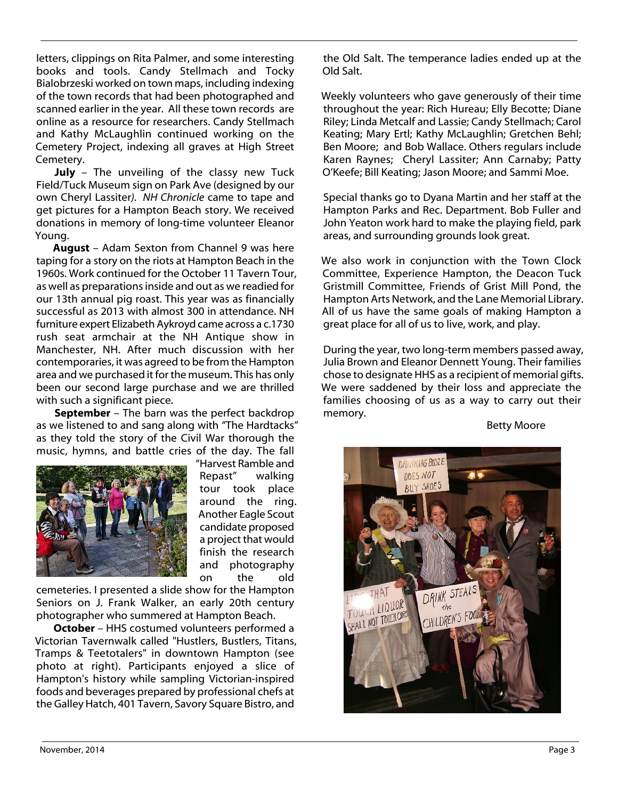letters, clippings on Rita Palmer, and some interesting books and tools. Candy Stellmach and Tocky Bialobrzeski worked on town maps, including indexing of the town records that had been photographed and scanned earlier in the year. All these town records are online as a resource for researchers. Candy Stellmach and Kathy McLaughlin continued working on the Cemetery Project, indexing all graves at High Street Cemetery.

**July** – The unveiling of the classy new Tuck Field/Tuck Museum sign on Park Ave (designed by our own Cheryl Lassiter*). NH Chronicle* came to tape and get pictures for a Hampton Beach story. We received donations in memory of long-time volunteer Eleanor Young.

**August** – Adam Sexton from Channel 9 was here taping for a story on the riots at Hampton Beach in the 1960s. Work continued for the October 11 Tavern Tour, as well as preparations inside and out as we readied for our 13th annual pig roast. This year was as financially successful as 2013 with almost 300 in attendance. NH furniture expert Elizabeth Aykroyd came across a c.1730 rush seat armchair at the NH Antique show in Manchester, NH. After much discussion with her contemporaries, it was agreed to be from the Hampton area and we purchased it for the museum. This has only been our second large purchase and we are thrilled with such a significant piece.

**September** – The barn was the perfect backdrop as we listened to and sang along with "The Hardtacks" as they told the story of the Civil War thorough the music, hymns, and battle cries of the day. The fall



"Harvest Ramble and Repast" walking tour took place around the ring. Another Eagle Scout candidate proposed a project that would finish the research and photography on the old

cemeteries. I presented a slide show for the Hampton Seniors on J. Frank Walker, an early 20th century photographer who summered at Hampton Beach.

**October** – HHS costumed volunteers performed a Victorian Tavernwalk called "Hustlers, Bustlers, Titans, Tramps & Teetotalers" in downtown Hampton (see photo at right). Participants enjoyed a slice of Hampton's history while sampling Victorian-inspired foods and beverages prepared by professional chefs at the Galley Hatch, 401 Tavern, Savory Square Bistro, and

the Old Salt. The temperance ladies ended up at the Old Salt.

Weekly volunteers who gave generously of their time throughout the year: Rich Hureau; Elly Becotte; Diane Riley; Linda Metcalf and Lassie; Candy Stellmach; Carol Keating; Mary Ertl; Kathy McLaughlin; Gretchen Behl; Ben Moore; and Bob Wallace. Others regulars include Karen Raynes; Cheryl Lassiter; Ann Carnaby; Patty O'Keefe; Bill Keating; Jason Moore; and Sammi Moe.

Special thanks go to Dyana Martin and her staff at the Hampton Parks and Rec. Department. Bob Fuller and John Yeaton work hard to make the playing field, park areas, and surrounding grounds look great.

We also work in conjunction with the Town Clock Committee, Experience Hampton, the Deacon Tuck Gristmill Committee, Friends of Grist Mill Pond, the Hampton Arts Network, and the Lane Memorial Library. All of us have the same goals of making Hampton a great place for all of us to live, work, and play.

During the year, two long-term members passed away, Julia Brown and Eleanor Dennett Young. Their families chose to designate HHS as a recipient of memorial gifts. We were saddened by their loss and appreciate the families choosing of us as a way to carry out their memory.

Betty Moore

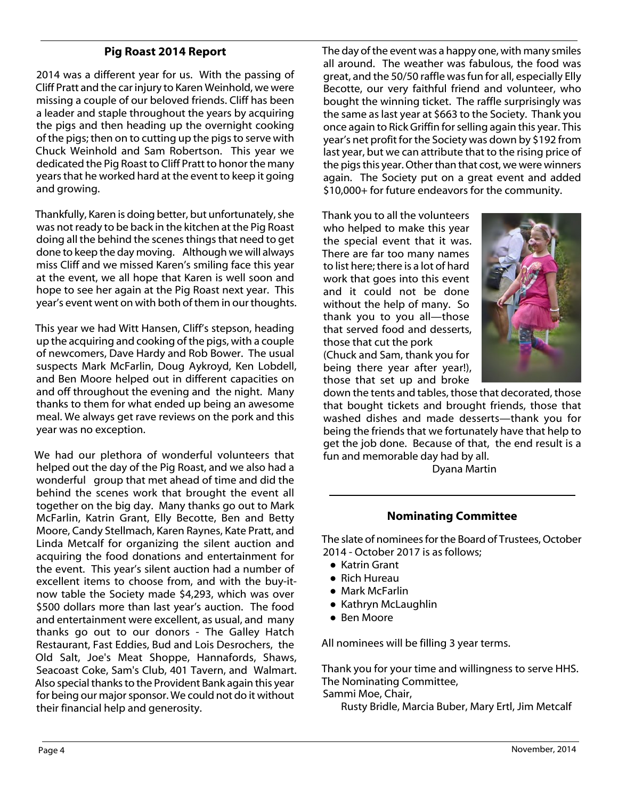## **Pig Roast 2014 Report**

2014 was a different year for us. With the passing of Cliff Pratt and the car injury to Karen Weinhold, we were missing a couple of our beloved friends. Cliff has been a leader and staple throughout the years by acquiring the pigs and then heading up the overnight cooking of the pigs; then on to cutting up the pigs to serve with Chuck Weinhold and Sam Robertson. This year we dedicated the Pig Roast to Cliff Pratt to honor the many years that he worked hard at the event to keep it going and growing.

Thankfully, Karen is doing better, but unfortunately, she was not ready to be back in the kitchen at the Pig Roast doing all the behind the scenes things that need to get done to keep the day moving. Although we will always miss Cliff and we missed Karen's smiling face this year at the event, we all hope that Karen is well soon and hope to see her again at the Pig Roast next year. This year's event went on with both of them in our thoughts.

This year we had Witt Hansen, Cliff's stepson, heading up the acquiring and cooking of the pigs, with a couple of newcomers, Dave Hardy and Rob Bower. The usual suspects Mark McFarlin, Doug Aykroyd, Ken Lobdell, and Ben Moore helped out in different capacities on and off throughout the evening and the night. Many thanks to them for what ended up being an awesome meal. We always get rave reviews on the pork and this year was no exception.

We had our plethora of wonderful volunteers that helped out the day of the Pig Roast, and we also had a wonderful group that met ahead of time and did the behind the scenes work that brought the event all together on the big day. Many thanks go out to Mark McFarlin, Katrin Grant, Elly Becotte, Ben and Betty Moore, Candy Stellmach, Karen Raynes, Kate Pratt, and Linda Metcalf for organizing the silent auction and acquiring the food donations and entertainment for the event. This year's silent auction had a number of excellent items to choose from, and with the buy-itnow table the Society made \$4,293, which was over \$500 dollars more than last year's auction. The food and entertainment were excellent, as usual, and many thanks go out to our donors - The Galley Hatch Restaurant, Fast Eddies, Bud and Lois Desrochers, the Old Salt, Joe's Meat Shoppe, Hannafords, Shaws, Seacoast Coke, Sam's Club, 401 Tavern, and Walmart. Also special thanks to the Provident Bank again this year for being our major sponsor. We could not do it without their financial help and generosity.

The day of the event was a happy one, with many smiles all around. The weather was fabulous, the food was great, and the 50/50 raffle was fun for all, especially Elly Becotte, our very faithful friend and volunteer, who bought the winning ticket. The raffle surprisingly was the same as last year at \$663 to the Society. Thank you once again to Rick Griffin for selling again this year. This year's net profit for the Society was down by \$192 from last year, but we can attribute that to the rising price of the pigs this year. Other than that cost, we were winners again. The Society put on a great event and added \$10,000+ for future endeavors for the community.

Thank you to all the volunteers who helped to make this year the special event that it was. There are far too many names to list here; there is a lot of hard work that goes into this event and it could not be done without the help of many. So thank you to you all—those that served food and desserts, those that cut the pork (Chuck and Sam, thank you for being there year after year!), those that set up and broke



down the tents and tables, those that decorated, those that bought tickets and brought friends, those that washed dishes and made desserts—thank you for being the friends that we fortunately have that help to get the job done. Because of that, the end result is a fun and memorable day had by all.

Dyana Martin

#### **Nominating Committee**

The slate of nominees for the Board of Trustees, October 2014 - October 2017 is as follows;

- Katrin Grant
- Rich Hureau
- Mark McFarlin
- Kathryn McLaughlin
- Ben Moore

All nominees will be filling 3 year terms.

Thank you for your time and willingness to serve HHS. The Nominating Committee,

Sammi Moe, Chair,

Rusty Bridle, Marcia Buber, Mary Ertl, Jim Metcalf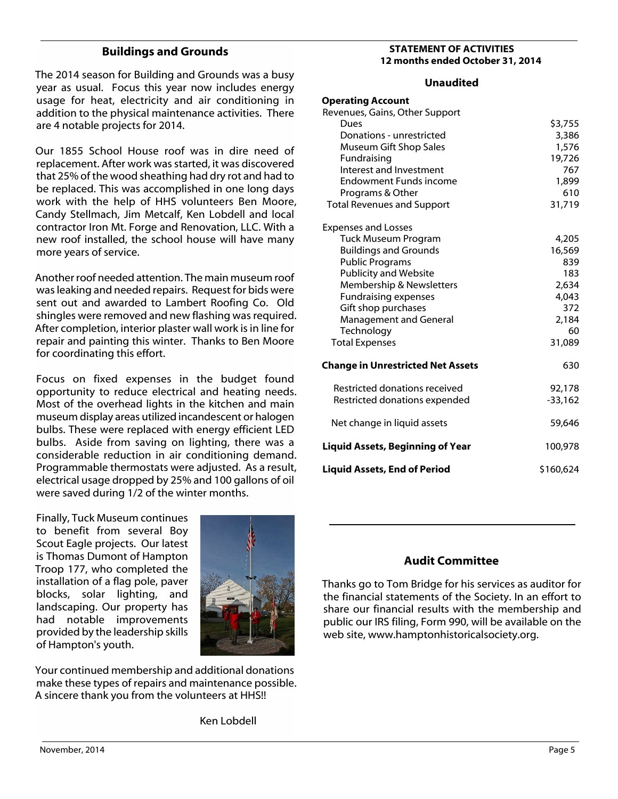#### **Buildings and Grounds**

The 2014 season for Building and Grounds was a busy year as usual. Focus this year now includes energy usage for heat, electricity and air conditioning in addition to the physical maintenance activities. There are 4 notable projects for 2014.

Our 1855 School House roof was in dire need of replacement. After work was started, it was discovered that 25% of the wood sheathing had dry rot and had to be replaced. This was accomplished in one long days work with the help of HHS volunteers Ben Moore, Candy Stellmach, Jim Metcalf, Ken Lobdell and local contractor Iron Mt. Forge and Renovation, LLC. With a new roof installed, the school house will have many more years of service.

Another roof needed attention. The main museum roof was leaking and needed repairs. Request for bids were sent out and awarded to Lambert Roofing Co. Old shingles were removed and new flashing was required. After completion, interior plaster wall work is in line for repair and painting this winter. Thanks to Ben Moore for coordinating this effort.

Focus on fixed expenses in the budget found opportunity to reduce electrical and heating needs. Most of the overhead lights in the kitchen and main museum display areas utilized incandescent or halogen bulbs. These were replaced with energy efficient LED bulbs. Aside from saving on lighting, there was a considerable reduction in air conditioning demand. Programmable thermostats were adjusted. As a result, electrical usage dropped by 25% and 100 gallons of oil were saved during 1/2 of the winter months.

Finally, Tuck Museum continues to benefit from several Boy Scout Eagle projects. Our latest is Thomas Dumont of Hampton Troop 177, who completed the installation of a flag pole, paver blocks, solar lighting, and landscaping. Our property has had notable improvements provided by the leadership skills of Hampton's youth.



Your continued membership and additional donations make these types of repairs and maintenance possible. A sincere thank you from the volunteers at HHS!!

Ken Lobdell

#### **STATEMENT OF ACTIVITIES 12 months ended October 31, 2014**

#### **Unaudited**

| <b>Operating Account</b>                 |           |
|------------------------------------------|-----------|
| Revenues, Gains, Other Support           |           |
| Dues                                     | \$3,755   |
| Donations - unrestricted                 | 3,386     |
| Museum Gift Shop Sales                   | 1,576     |
| Fundraising                              | 19,726    |
| Interest and Investment                  | 767       |
| <b>Endowment Funds income</b>            | 1,899     |
| Programs & Other                         | 610       |
| <b>Total Revenues and Support</b>        | 31,719    |
| <b>Expenses and Losses</b>               |           |
| <b>Tuck Museum Program</b>               | 4,205     |
| <b>Buildings and Grounds</b>             | 16,569    |
| <b>Public Programs</b>                   | 839       |
| <b>Publicity and Website</b>             | 183       |
| Membership & Newsletters                 | 2,634     |
| <b>Fundraising expenses</b>              | 4,043     |
| Gift shop purchases                      | 372       |
| Management and General                   | 2,184     |
| Technology                               | 60        |
| <b>Total Expenses</b>                    | 31,089    |
| <b>Change in Unrestricted Net Assets</b> | 630       |
| Restricted donations received            | 92,178    |
| Restricted donations expended            | $-33,162$ |
| Net change in liquid assets              | 59,646    |
| <b>Liquid Assets, Beginning of Year</b>  | 100,978   |
| <b>Liquid Assets, End of Period</b>      | \$160,624 |

# **Audit Committee**

Thanks go to Tom Bridge for his services as auditor for the financial statements of the Society. In an effort to share our financial results with the membership and public our IRS filing, Form 990, will be available on the web site, www.hamptonhistoricalsociety.org.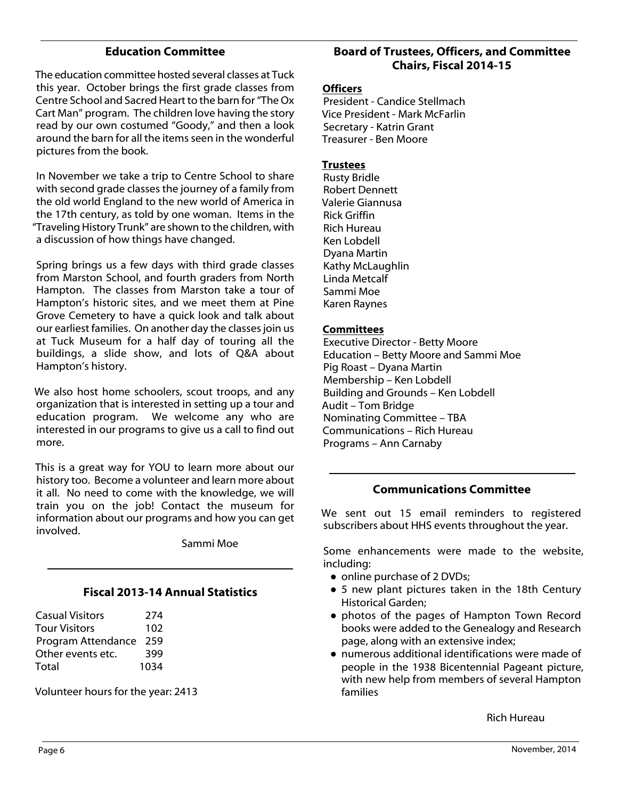#### **Education Committee**

The education committee hosted several classes at Tuck this year. October brings the first grade classes from Centre School and Sacred Heart to the barn for "The Ox Cart Man" program. The children love having the story read by our own costumed "Goody," and then a look around the barn for all the items seen in the wonderful pictures from the book.

In November we take a trip to Centre School to share with second grade classes the journey of a family from the old world England to the new world of America in the 17th century, as told by one woman. Items in the "Traveling History Trunk" are shown to the children, with a discussion of how things have changed.

Spring brings us a few days with third grade classes from Marston School, and fourth graders from North Hampton. The classes from Marston take a tour of Hampton's historic sites, and we meet them at Pine Grove Cemetery to have a quick look and talk about our earliest families. On another day the classes join us at Tuck Museum for a half day of touring all the buildings, a slide show, and lots of Q&A about Hampton's history.

We also host home schoolers, scout troops, and any organization that is interested in setting up a tour and education program. We welcome any who are interested in our programs to give us a call to find out more.

This is a great way for YOU to learn more about our history too. Become a volunteer and learn more about it all. No need to come with the knowledge, we will train you on the job! Contact the museum for information about our programs and how you can get involved.

Sammi Moe

#### **Fiscal 2013-14 Annual Statistics**

| <b>Casual Visitors</b> | 274  |
|------------------------|------|
| Tour Visitors          | 102  |
| Program Attendance     | 259  |
| Other events etc.      | 399  |
| Total                  | 1034 |
|                        |      |

Volunteer hours for the year: 2413

## **Board of Trustees, Officers, and Committee Chairs, Fiscal 2014-15**

#### **Officers**

President - Candice Stellmach Vice President - Mark McFarlin Secretary - Katrin Grant Treasurer - Ben Moore

#### **Trustees**

Rusty Bridle Robert Dennett Valerie Giannusa Rick Griffin Rich Hureau Ken Lobdell Dyana Martin Kathy McLaughlin Linda Metcalf Sammi Moe Karen Raynes

#### **Committees**

Executive Director - Betty Moore Education – Betty Moore and Sammi Moe Pig Roast – Dyana Martin Membership – Ken Lobdell Building and Grounds – Ken Lobdell Audit – Tom Bridge Nominating Committee – TBA Communications – Rich Hureau Programs – Ann Carnaby

# **Communications Committee**

We sent out 15 email reminders to registered subscribers about HHS events throughout the year.

Some enhancements were made to the website, including:

- online purchase of 2 DVDs;
- 5 new plant pictures taken in the 18th Century Historical Garden;
- photos of the pages of Hampton Town Record books were added to the Genealogy and Research page, along with an extensive index;
- numerous additional identifications were made of people in the 1938 Bicentennial Pageant picture, with new help from members of several Hampton families

Rich Hureau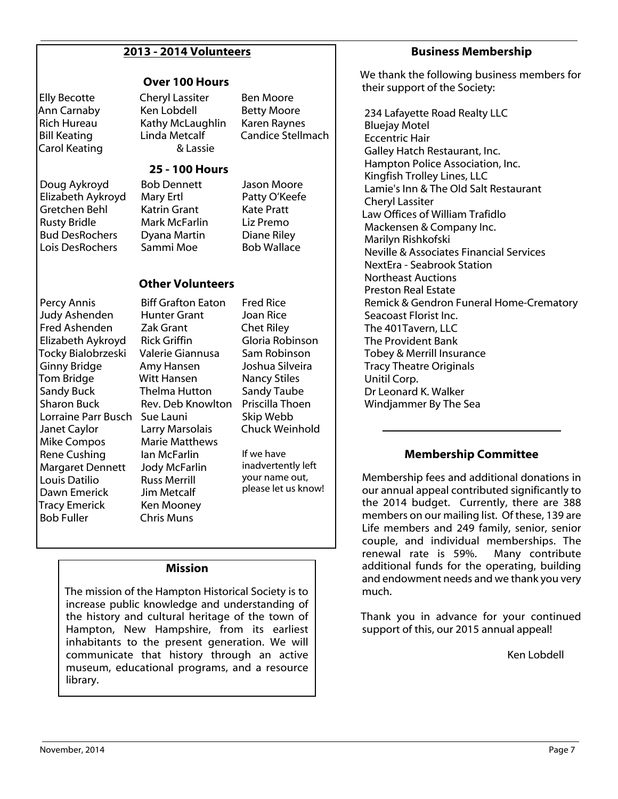# **2013 - 2014 Volunteers**

#### **Over 100 Hours**

Elly Becotte Ann Carnaby Rich Hureau Bill Keating Carol Keating Cheryl Lassiter Ken Lobdell Kathy McLaughlin Linda Metcalf & Lassie

Ben Moore Betty Moore Karen Raynes Candice Stellmach

## **25 - 100 Hours**

Doug Aykroyd Elizabeth Aykroyd Gretchen Behl Rusty Bridle Bud DesRochers Lois DesRochers

Bob Dennett Mary Ertl Katrin Grant Mark McFarlin Dyana Martin Sammi Moe

Jason Moore Patty O'Keefe Kate Pratt Liz Premo Diane Riley Bob Wallace

Fred Rice Joan Rice Chet Riley Gloria Robinson Sam Robinson Joshua Silveira Nancy Stiles Sandy Taube Priscilla Thoen Skip Webb Chuck Weinhold

If we have inadvertently left your name out, please let us know!

## **Other Volunteers**

Biff Grafton Eaton

Percy Annis Judy Ashenden Fred Ashenden Elizabeth Aykroyd Tocky Bialobrzeski Ginny Bridge Tom Bridge Sandy Buck Sharon Buck Lorraine Parr Busch Sue Launi Janet Caylor Mike Compos Rene Cushing Margaret Dennett Louis Datilio Dawn Emerick Tracy Emerick Bob Fuller

Hunter Grant Zak Grant Rick Griffin Valerie Giannusa Amy Hansen Witt Hansen Thelma Hutton Rev. Deb Knowlton Larry Marsolais Marie Matthews Ian McFarlin Jody McFarlin Russ Merrill Jim Metcalf Ken Mooney Chris Muns

**Mission**

The mission of the Hampton Historical Society is to increase public knowledge and understanding of the history and cultural heritage of the town of Hampton, New Hampshire, from its earliest inhabitants to the present generation. We will communicate that history through an active museum, educational programs, and a resource library.

#### **Business Membership**

We thank the following business members for their support of the Society:

 234 Lafayette Road Realty LLC Bluejay Motel Eccentric Hair Galley Hatch Restaurant, Inc. Hampton Police Association, Inc. Kingfish Trolley Lines, LLC Lamie's Inn & The Old Salt Restaurant Cheryl Lassiter Law Offices of William Trafidlo Mackensen & Company Inc. Marilyn Rishkofski Neville & Associates Financial Services NextEra - Seabrook Station Northeast Auctions Preston Real Estate Remick & Gendron Funeral Home-Crematory Seacoast Florist Inc. The 401Tavern, LLC The Provident Bank Tobey & Merrill Insurance Tracy Theatre Originals Unitil Corp. Dr Leonard K. Walker Windjammer By The Sea

# **Membership Committee**

Membership fees and additional donations in our annual appeal contributed significantly to the 2014 budget. Currently, there are 388 members on our mailing list. Of these, 139 are Life members and 249 family, senior, senior couple, and individual memberships. The renewal rate is 59%. Many contribute additional funds for the operating, building and endowment needs and we thank you very much.

Thank you in advance for your continued support of this, our 2015 annual appeal!

Ken Lobdell